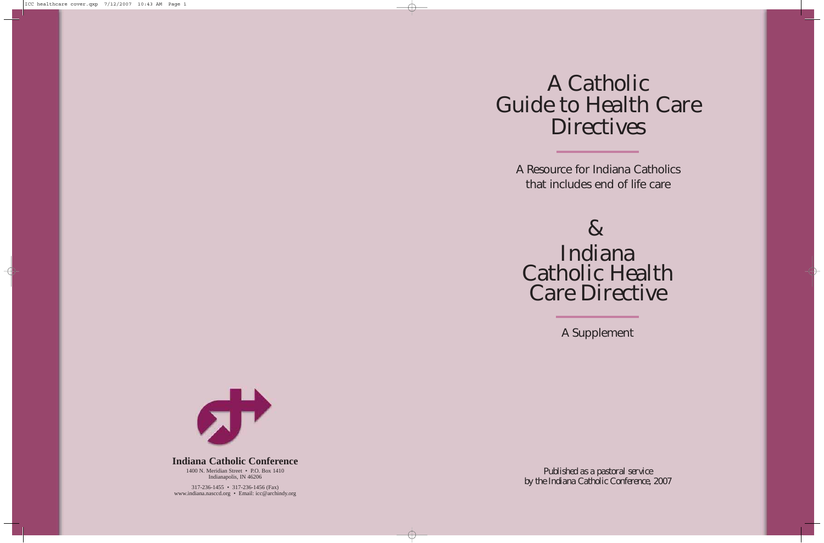## A Catholic Guide to Health Care **Directives**

A Resource for Indiana Catholics that includes end of life care

## $\mathbf{g}$ Indiana Catholic Health Care Directive

A Supplement

*Published as a pastoral service by the Indiana Catholic Conference, 2007*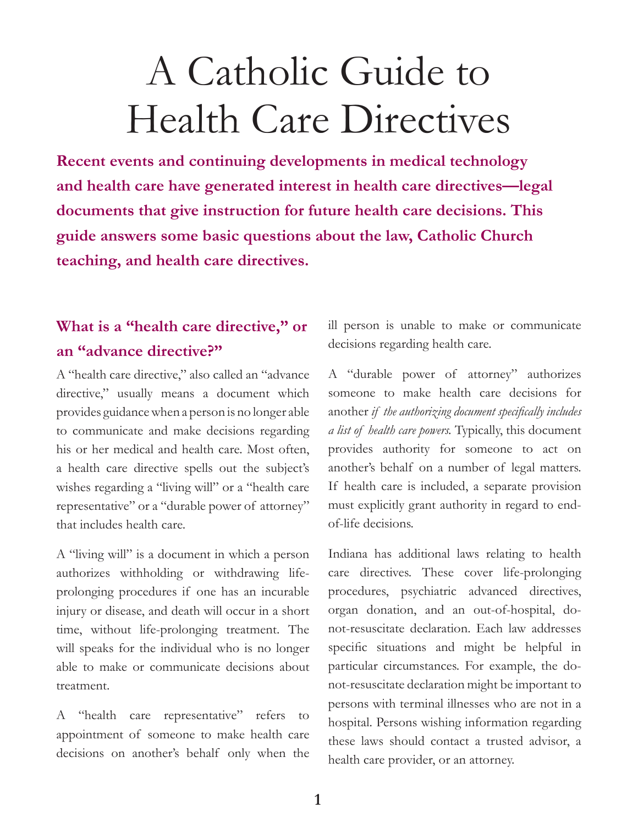# A Catholic Guide to Health Care Directives

**Recent events and continuing developments in medical technology and health care have generated interest in health care directives—legal documents that give instruction for future health care decisions. This guide answers some basic questions about the law, Catholic Church teaching, and health care directives.**

#### **What is a "health care directive," or an "advance directive?"**

A "health care directive," also called an "advance directive," usually means a document which provides guidance when a person is no longer able to communicate and make decisions regarding his or her medical and health care. Most often, a health care directive spells out the subject's wishes regarding a "living will" or a "health care" representative" or a "durable power of attorney" that includes health care.

A "living will" is a document in which a person authorizes withholding or withdrawing lifeprolonging procedures if one has an incurable injury or disease, and death will occur in a short time, without life-prolonging treatment. The will speaks for the individual who is no longer able to make or communicate decisions about treatment.

A "health care representative" refers to appointment of someone to make health care decisions on another's behalf only when the

ill person is unable to make or communicate decisions regarding health care.

A "durable power of attorney" authorizes someone to make health care decisions for another *if the authorizing document specifically includes a list of health care powers.* Typically, this document provides authority for someone to act on another's behalf on a number of legal matters. If health care is included, a separate provision must explicitly grant authority in regard to endof-life decisions.

Indiana has additional laws relating to health care directives. These cover life-prolonging procedures, psychiatric advanced directives, organ donation, and an out-of-hospital, donot-resuscitate declaration. Each law addresses specific situations and might be helpful in particular circumstances. For example, the donot-resuscitate declaration might be important to persons with terminal illnesses who are not in a hospital. Persons wishing information regarding these laws should contact a trusted advisor, a health care provider, or an attorney.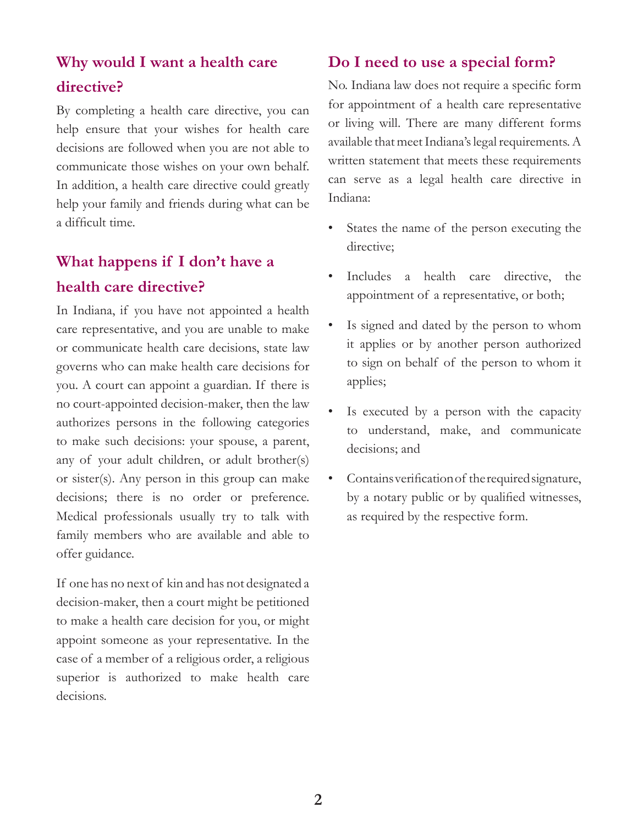#### **Why would I want a health care directive?**

By completing a health care directive, you can help ensure that your wishes for health care decisions are followed when you are not able to communicate those wishes on your own behalf. In addition, a health care directive could greatly help your family and friends during what can be a difficult time.

### **What happens if I don't have a health care directive?**

In Indiana, if you have not appointed a health care representative, and you are unable to make or communicate health care decisions, state law governs who can make health care decisions for you. A court can appoint a guardian. If there is no court-appointed decision-maker, then the law authorizes persons in the following categories to make such decisions: your spouse, a parent, any of your adult children, or adult brother(s) or sister(s). Any person in this group can make decisions; there is no order or preference. Medical professionals usually try to talk with family members who are available and able to offer guidance.

If one has no next of kin and has not designated a decision-maker, then a court might be petitioned to make a health care decision for you, or might appoint someone as your representative. In the case of a member of a religious order, a religious superior is authorized to make health care decisions.

#### **Do I need to use a special form?**

No. Indiana law does not require a specific form for appointment of a health care representative or living will. There are many different forms available that meet Indiana's legal requirements. A written statement that meets these requirements can serve as a legal health care directive in Indiana:

- States the name of the person executing the directive;
- Includes a health care directive, the appointment of a representative, or both;
- Is signed and dated by the person to whom it applies or by another person authorized to sign on behalf of the person to whom it applies;
- Is executed by a person with the capacity to understand, make, and communicate decisions; and
- Contains verification of the required signature, by a notary public or by qualified witnesses, as required by the respective form.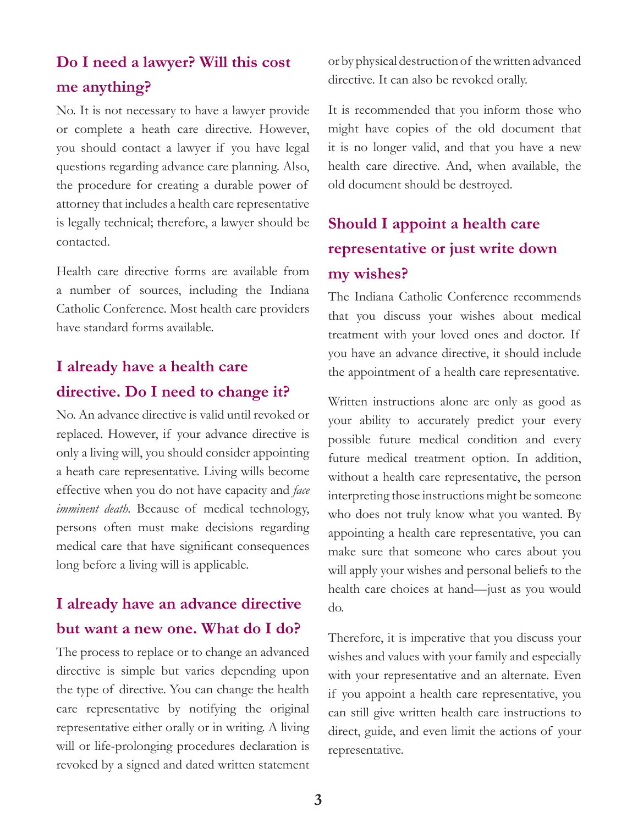#### **Do I need a lawyer? Will this cost me anything?**

No. It is not necessary to have a lawyer provide or complete a heath care directive. However, you should contact a lawyer if you have legal questions regarding advance care planning. Also, the procedure for creating a durable power of attorney that includes a health care representative is legally technical; therefore, a lawyer should be contacted.

Health care directive forms are available from a number of sources, including the Indiana Catholic Conference. Most health care providers have standard forms available.

#### **I already have a health care directive. Do I need to change it?**

No. An advance directive is valid until revoked or replaced. However, if your advance directive is only a living will, you should consider appointing a heath care representative. Living wills become effective when you do not have capacity and *face imminent death.* Because of medical technology, persons often must make decisions regarding medical care that have significant consequences long before a living will is applicable.

#### **I already have an advance directive but want a new one. What do I do?**

The process to replace or to change an advanced directive is simple but varies depending upon the type of directive. You can change the health care representative by notifying the original representative either orally or in writing. A living will or life-prolonging procedures declaration is revoked by a signed and dated written statement

or by physical destruction of the written advanced directive. It can also be revoked orally.

It is recommended that you inform those who might have copies of the old document that it is no longer valid, and that you have a new health care directive. And, when available, the old document should be destroyed.

## **Should I appoint a health care representative or just write down my wishes?**

The Indiana Catholic Conference recommends that you discuss your wishes about medical treatment with your loved ones and doctor. If you have an advance directive, it should include the appointment of a health care representative.

Written instructions alone are only as good as your ability to accurately predict your every possible future medical condition and every future medical treatment option. In addition, without a health care representative, the person interpreting those instructions might be someone who does not truly know what you wanted. By appointing a health care representative, you can make sure that someone who cares about you will apply your wishes and personal beliefs to the health care choices at hand—just as you would do.

Therefore, it is imperative that you discuss your wishes and values with your family and especially with your representative and an alternate. Even if you appoint a health care representative, you can still give written health care instructions to direct, guide, and even limit the actions of your representative.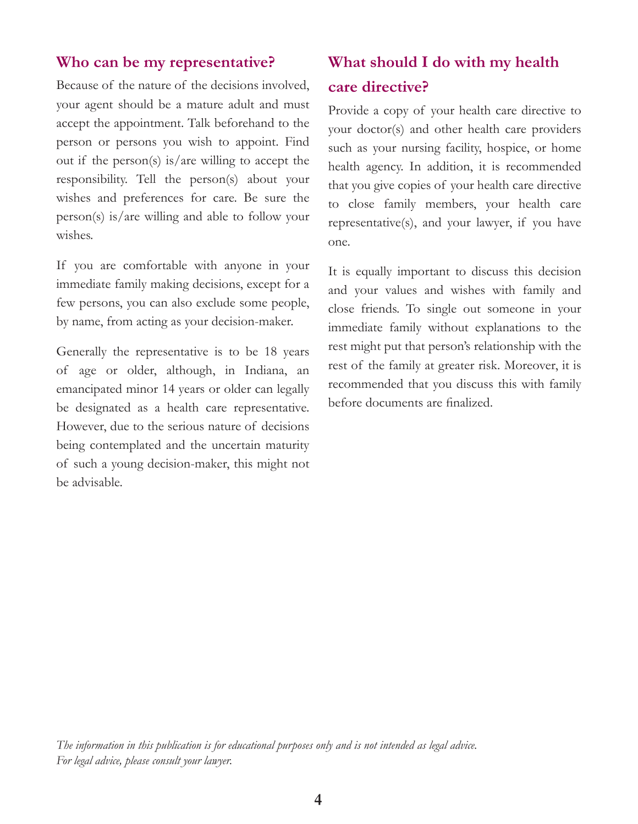#### **Who can be my representative?**

Because of the nature of the decisions involved, your agent should be a mature adult and must accept the appointment. Talk beforehand to the person or persons you wish to appoint. Find out if the person(s) is/are willing to accept the responsibility. Tell the person(s) about your wishes and preferences for care. Be sure the person(s) is/are willing and able to follow your wishes.

If you are comfortable with anyone in your immediate family making decisions, except for a few persons, you can also exclude some people, by name, from acting as your decision-maker.

Generally the representative is to be 18 years of age or older, although, in Indiana, an emancipated minor 14 years or older can legally be designated as a health care representative. However, due to the serious nature of decisions being contemplated and the uncertain maturity of such a young decision-maker, this might not be advisable.

#### **What should I do with my health care directive?**

Provide a copy of your health care directive to your doctor(s) and other health care providers such as your nursing facility, hospice, or home health agency. In addition, it is recommended that you give copies of your health care directive to close family members, your health care representative(s), and your lawyer, if you have one.

It is equally important to discuss this decision and your values and wishes with family and close friends. To single out someone in your immediate family without explanations to the rest might put that person's relationship with the rest of the family at greater risk. Moreover, it is recommended that you discuss this with family before documents are finalized.

*The information in this publication is for educational purposes only and is not intended as legal advice. For legal advice, please consult your lawyer.*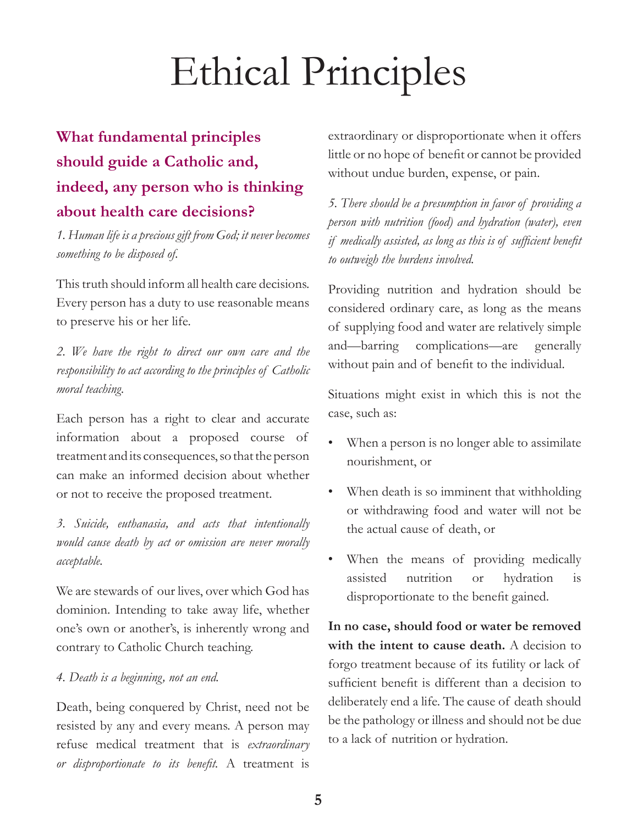# Ethical Principles

## **What fundamental principles should guide a Catholic and, indeed, any person who is thinking about health care decisions?**

*1. Human life is a precious gift from God; it never becomes something to be disposed of.*

This truth should inform all health care decisions. Every person has a duty to use reasonable means to preserve his or her life.

*2. We have the right to direct our own care and the responsibility to act according to the principles of Catholic moral teaching.*

Each person has a right to clear and accurate information about a proposed course of treatment and its consequences, so that the person can make an informed decision about whether or not to receive the proposed treatment.

*3. Suicide, euthanasia, and acts that intentionally would cause death by act or omission are never morally acceptable.*

We are stewards of our lives, over which God has dominion. Intending to take away life, whether one's own or another's, is inherently wrong and contrary to Catholic Church teaching.

#### *4. Death is a beginning, not an end.*

Death, being conquered by Christ, need not be resisted by any and every means. A person may refuse medical treatment that is *extraordinary or disproportionate to its benefit.* A treatment is

extraordinary or disproportionate when it offers little or no hope of benefit or cannot be provided without undue burden, expense, or pain.

*5. There should be a presumption in favor of providing a person with nutrition (food) and hydration (water), even if medically assisted, as long as this is of sufficient benefit to outweigh the burdens involved.*

Providing nutrition and hydration should be considered ordinary care, as long as the means of supplying food and water are relatively simple and—barring complications—are generally without pain and of benefit to the individual.

Situations might exist in which this is not the case, such as:

- When a person is no longer able to assimilate nourishment, or
- When death is so imminent that withholding or withdrawing food and water will not be the actual cause of death, or
- When the means of providing medically assisted nutrition or hydration is disproportionate to the benefit gained.

**In no case, should food or water be removed with the intent to cause death.** A decision to forgo treatment because of its futility or lack of sufficient benefit is different than a decision to deliberately end a life. The cause of death should be the pathology or illness and should not be due to a lack of nutrition or hydration.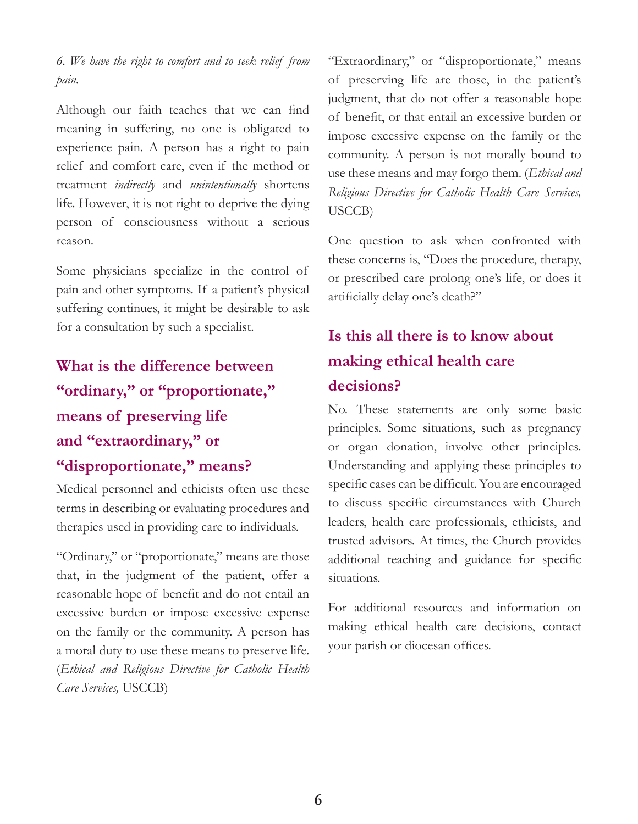*6. We have the right to comfort and to seek relief from pain.*

Although our faith teaches that we can find meaning in suffering, no one is obligated to experience pain. A person has a right to pain relief and comfort care, even if the method or treatment *indirectly* and *unintentionally* shortens life. However, it is not right to deprive the dying person of consciousness without a serious reason.

Some physicians specialize in the control of pain and other symptoms. If a patient's physical suffering continues, it might be desirable to ask for a consultation by such a specialist.

**What is the difference between "ordinary," or "proportionate," means of preserving life and "extraordinary," or "disproportionate," means?**

Medical personnel and ethicists often use these terms in describing or evaluating procedures and therapies used in providing care to individuals.

"Ordinary," or "proportionate," means are those that, in the judgment of the patient, offer a reasonable hope of benefit and do not entail an excessive burden or impose excessive expense on the family or the community. A person has a moral duty to use these means to preserve life. (*Ethical and Religious Directive for Catholic Health Care Services,* USCCB)

"Extraordinary," or "disproportionate," means of preserving life are those, in the patient's judgment, that do not offer a reasonable hope of benefit, or that entail an excessive burden or impose excessive expense on the family or the community. A person is not morally bound to use these means and may forgo them. (*Ethical and Religious Directive for Catholic Health Care Services,* USCCB)

One question to ask when confronted with these concerns is, "Does the procedure, therapy, or prescribed care prolong one's life, or does it artificially delay one's death?"

## **Is this all there is to know about making ethical health care decisions?**

No. These statements are only some basic principles. Some situations, such as pregnancy or organ donation, involve other principles. Understanding and applying these principles to specific cases can be difficult. You are encouraged to discuss specific circumstances with Church leaders, health care professionals, ethicists, and trusted advisors. At times, the Church provides additional teaching and guidance for specific situations.

For additional resources and information on making ethical health care decisions, contact your parish or diocesan offices.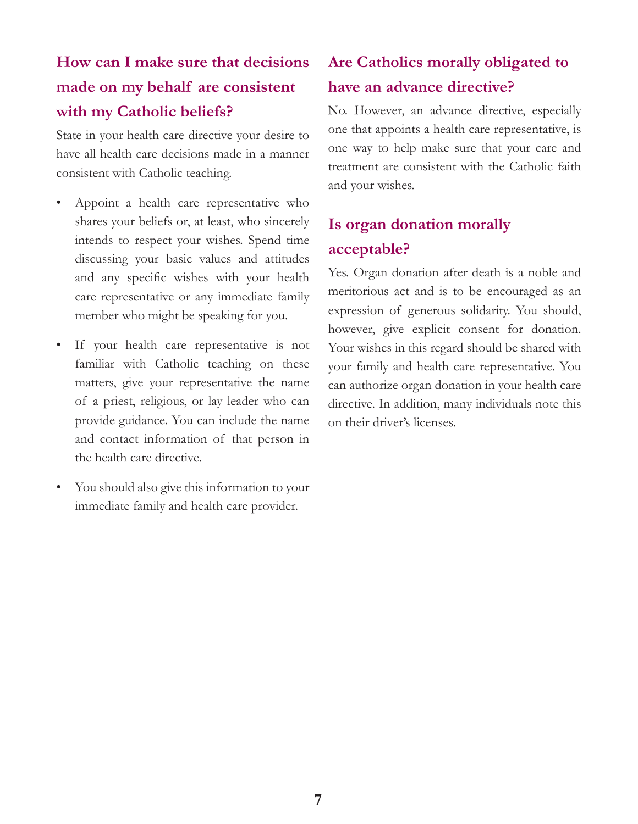## **How can I make sure that decisions made on my behalf are consistent with my Catholic beliefs?**

State in your health care directive your desire to have all health care decisions made in a manner consistent with Catholic teaching.

- Appoint a health care representative who shares your beliefs or, at least, who sincerely intends to respect your wishes. Spend time discussing your basic values and attitudes and any specific wishes with your health care representative or any immediate family member who might be speaking for you.
- If your health care representative is not familiar with Catholic teaching on these matters, give your representative the name of a priest, religious, or lay leader who can provide guidance. You can include the name and contact information of that person in the health care directive.
- You should also give this information to your immediate family and health care provider.

### **Are Catholics morally obligated to have an advance directive?**

No. However, an advance directive, especially one that appoints a health care representative, is one way to help make sure that your care and treatment are consistent with the Catholic faith and your wishes.

### **Is organ donation morally acceptable?**

Yes. Organ donation after death is a noble and meritorious act and is to be encouraged as an expression of generous solidarity. You should, however, give explicit consent for donation. Your wishes in this regard should be shared with your family and health care representative. You can authorize organ donation in your health care directive. In addition, many individuals note this on their driver's licenses.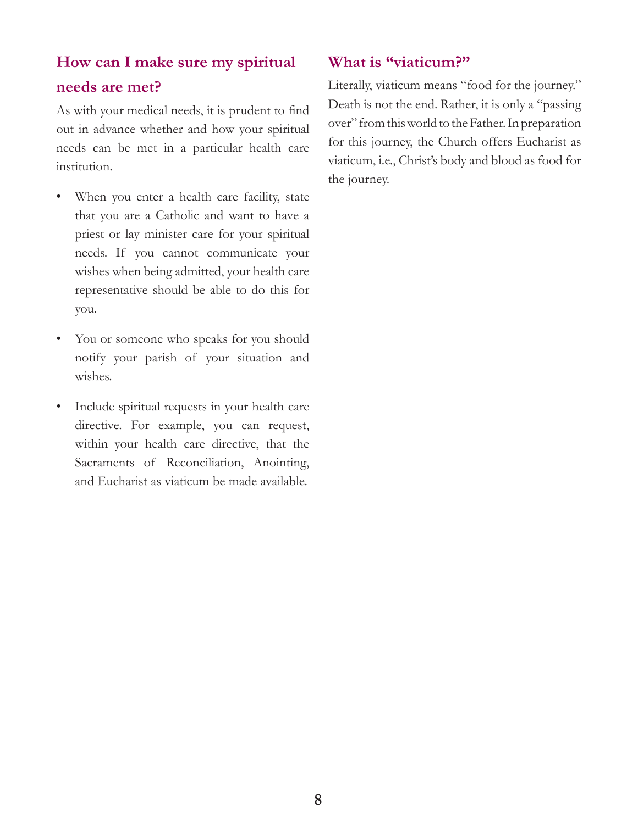## **How can I make sure my spiritual needs are met?**

As with your medical needs, it is prudent to find out in advance whether and how your spiritual needs can be met in a particular health care institution.

- When you enter a health care facility, state that you are a Catholic and want to have a priest or lay minister care for your spiritual needs. If you cannot communicate your wishes when being admitted, your health care representative should be able to do this for you.
- You or someone who speaks for you should notify your parish of your situation and wishes.
- Include spiritual requests in your health care directive. For example, you can request, within your health care directive, that the Sacraments of Reconciliation, Anointing, and Eucharist as viaticum be made available.

#### **What is "viaticum?"**

Literally, viaticum means "food for the journey." Death is not the end. Rather, it is only a "passing over" from this world to the Father. In preparation for this journey, the Church offers Eucharist as viaticum, i.e., Christ's body and blood as food for the journey.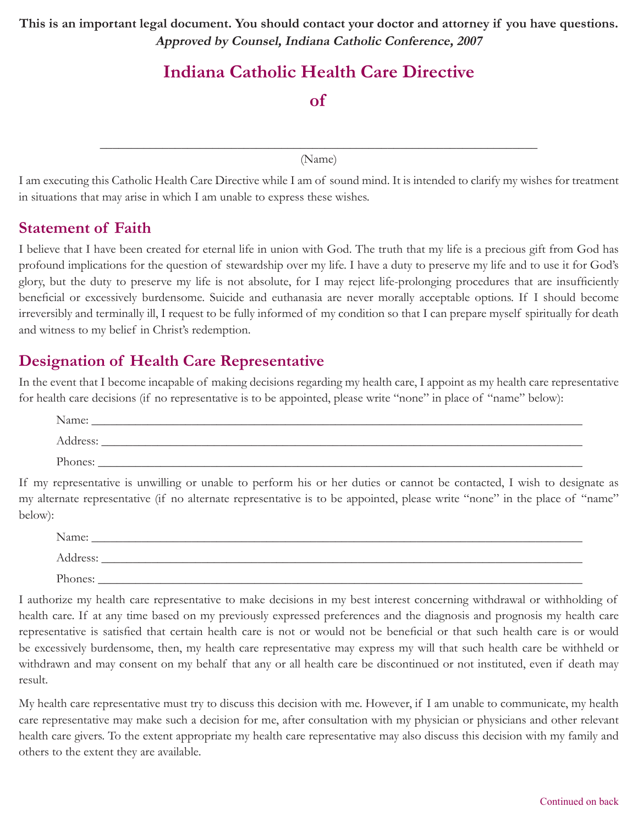**This is an important legal document. You should contact your doctor and attorney if you have questions. Approved by Counsel, Indiana Catholic Conference, 2007**

## **Indiana Catholic Health Care Directive**

**of**

\_\_\_\_\_\_\_\_\_\_\_\_\_\_\_\_\_\_\_\_\_\_\_\_\_\_\_\_\_\_\_\_\_\_\_\_\_\_\_\_\_\_\_\_\_\_\_\_\_\_\_\_\_\_\_\_\_\_\_\_\_\_\_\_\_\_\_\_\_\_ (Name)

I am executing this Catholic Health Care Directive while I am of sound mind. It is intended to clarify my wishes for treatment in situations that may arise in which I am unable to express these wishes.

#### **Statement of Faith**

I believe that I have been created for eternal life in union with God. The truth that my life is a precious gift from God has profound implications for the question of stewardship over my life. I have a duty to preserve my life and to use it for God's glory, but the duty to preserve my life is not absolute, for I may reject life-prolonging procedures that are insufficiently beneficial or excessively burdensome. Suicide and euthanasia are never morally acceptable options. If I should become irreversibly and terminally ill, I request to be fully informed of my condition so that I can prepare myself spiritually for death and witness to my belief in Christ's redemption.

#### **Designation of Health Care Representative**

In the event that I become incapable of making decisions regarding my health care, I appoint as my health care representative for health care decisions (if no representative is to be appointed, please write "none" in place of "name" below):

| Name:    |  |
|----------|--|
| Address: |  |
| Phones:  |  |

If my representative is unwilling or unable to perform his or her duties or cannot be contacted, I wish to designate as my alternate representative (if no alternate representative is to be appointed, please write "none" in the place of "name" below):

| Name:    |  |
|----------|--|
| Address: |  |
| Phones:  |  |

I authorize my health care representative to make decisions in my best interest concerning withdrawal or withholding of health care. If at any time based on my previously expressed preferences and the diagnosis and prognosis my health care representative is satisfied that certain health care is not or would not be beneficial or that such health care is or would be excessively burdensome, then, my health care representative may express my will that such health care be withheld or withdrawn and may consent on my behalf that any or all health care be discontinued or not instituted, even if death may result.

My health care representative must try to discuss this decision with me. However, if I am unable to communicate, my health care representative may make such a decision for me, after consultation with my physician or physicians and other relevant health care givers. To the extent appropriate my health care representative may also discuss this decision with my family and others to the extent they are available.